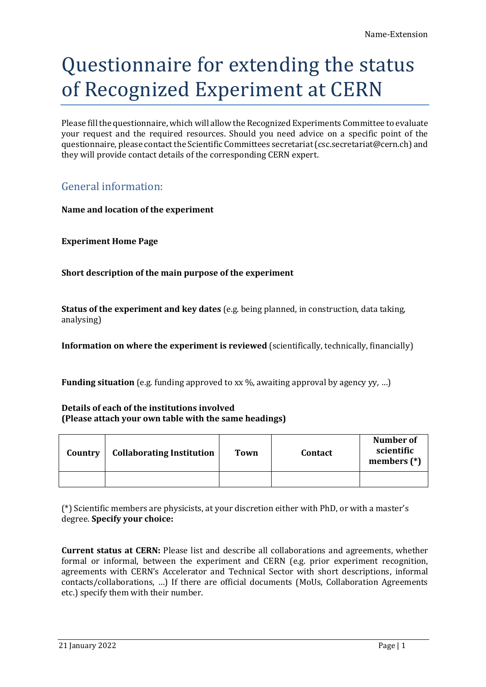# Questionnaire for extending the status of Recognized Experiment at CERN

Please fill the questionnaire, which will allow the Recognized Experiments Committee to evaluate your request and the required resources. Should you need advice on a specific point of the questionnaire, please contact the Scientific Committees secretariat (csc.secretariat@cern.ch) and they will provide contact details of the corresponding CERN expert.

# General information:

**Name and location of the experiment**

**Experiment Home Page**

**Short description of the main purpose of the experiment**

**Status of the experiment and key dates** (e.g. being planned, in construction, data taking, analysing)

**Information on where the experiment is reviewed** (scientifically, technically, financially)

**Funding situation** (e.g. funding approved to xx %, awaiting approval by agency yy, ...)

**Details of each of the institutions involved (Please attach your own table with the same headings)**

| Country | <b>Collaborating Institution</b> | Town | <b>Contact</b> | Number of<br>scientific<br>members $(*)$ |
|---------|----------------------------------|------|----------------|------------------------------------------|
|         |                                  |      |                |                                          |

(\*) Scientific members are physicists, at your discretion either with PhD, or with a master's degree. **Specify your choice:**

**Current status at CERN:** Please list and describe all collaborations and agreements, whether formal or informal, between the experiment and CERN (e.g. prior experiment recognition, agreements with CERN's Accelerator and Technical Sector with short descriptions, informal contacts/collaborations, …) If there are official documents (MoUs, Collaboration Agreements etc.) specify them with their number.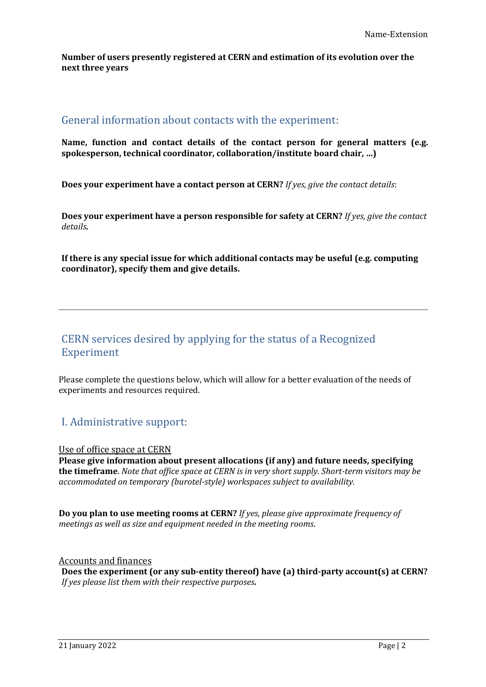**Number of users presently registered at CERN and estimation of its evolution over the next three years**

#### General information about contacts with the experiment:

**Name, function and contact details of the contact person for general matters (e.g. spokesperson, technical coordinator, collaboration/institute board chair, …)**

**Does your experiment have a contact person at CERN?** *If yes, give the contact details*:

**Does your experiment have a person responsible for safety at CERN?** *If yes, give the contact details.*

**If there is any special issue for which additional contacts may be useful (e.g. computing coordinator), specify them and give details.** 

# CERN services desired by applying for the status of a Recognized Experiment

Please complete the questions below, which will allow for a better evaluation of the needs of experiments and resources required.

# I. Administrative support:

Use of office space at CERN

**Please give information about present allocations (if any) and future needs, specifying the timeframe**. *Note that office space at CERN is in very short supply. Short-term visitors may be accommodated on temporary (burotel-style) workspaces subject to availability.*

**Do you plan to use meeting rooms at CERN?** *If yes, please give approximate frequency of meetings as well as size and equipment needed in the meeting rooms*.

Accounts and finances **Does the experiment (or any sub-entity thereof) have (a) third-party account(s) at CERN?** *If yes please list them with their respective purposes.*